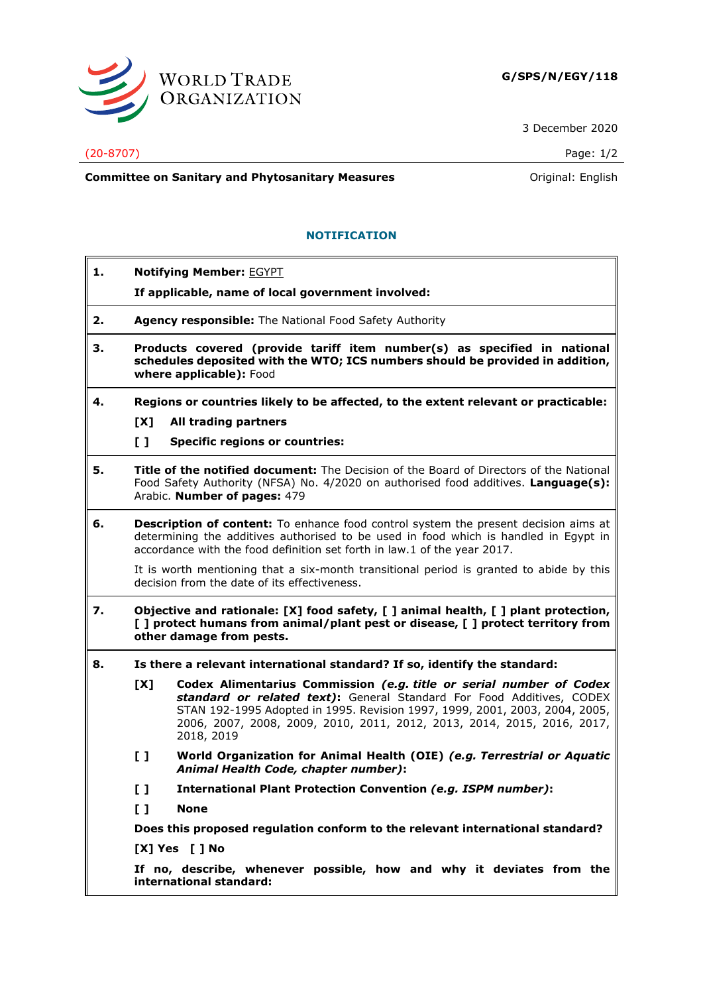

3 December 2020

## (20-8707) Page: 1/2

**Committee on Sanitary and Phytosanitary Measures Committee on Sanitary and Phytosanitary Measures Committee And American** 

## **NOTIFICATION**

- **1. Notifying Member:** EGYPT
	- **If applicable, name of local government involved:**
- **2. Agency responsible:** The National Food Safety Authority
- **3. Products covered (provide tariff item number(s) as specified in national schedules deposited with the WTO; ICS numbers should be provided in addition, where applicable):** Food
- **4. Regions or countries likely to be affected, to the extent relevant or practicable: [X] All trading partners**
	-
	- **[ ] Specific regions or countries:**
- **5. Title of the notified document:** The Decision of the Board of Directors of the National Food Safety Authority (NFSA) No. 4/2020 on authorised food additives. **Language(s):** Arabic. **Number of pages:** 479
- **6. Description of content:** To enhance food control system the present decision aims at determining the additives authorised to be used in food which is handled in Egypt in accordance with the food definition set forth in law.1 of the year 2017.

It is worth mentioning that a six-month transitional period is granted to abide by this decision from the date of its effectiveness.

- **7. Objective and rationale: [X] food safety, [ ] animal health, [ ] plant protection, [ ] protect humans from animal/plant pest or disease, [ ] protect territory from other damage from pests.**
- **8. Is there a relevant international standard? If so, identify the standard:**
	- **[X] Codex Alimentarius Commission** *(e.g. title or serial number of Codex standard or related text)***:** General Standard For Food Additives, CODEX STAN 192-1995 Adopted in 1995. Revision 1997, 1999, 2001, 2003, 2004, 2005, 2006, 2007, 2008, 2009, 2010, 2011, 2012, 2013, 2014, 2015, 2016, 2017, 2018, 2019
	- **[ ] World Organization for Animal Health (OIE)** *(e.g. Terrestrial or Aquatic Animal Health Code, chapter number)***:**
	- **[ ] International Plant Protection Convention** *(e.g. ISPM number)***:**
	- **[ ] None**

**Does this proposed regulation conform to the relevant international standard?** 

**[X] Yes [ ] No**

**If no, describe, whenever possible, how and why it deviates from the international standard:**